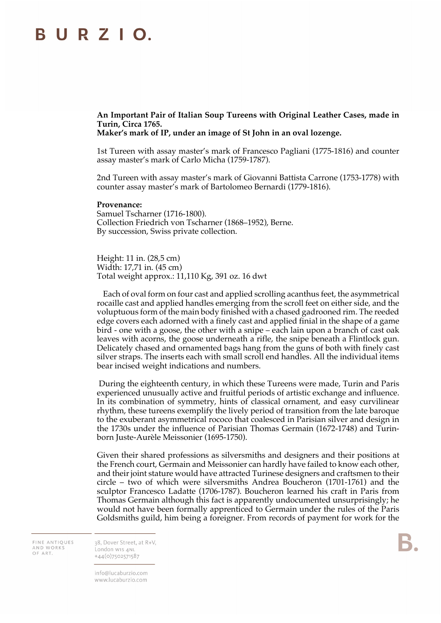## **BURZIO.**

**An Important Pair of Italian Soup Tureens with Original Leather Cases, made in Turin, Circa 1765.**

**Maker's mark of IP, under an image of St John in an oval lozenge.**

1st Tureen with assay master's mark of Francesco Pagliani (1775-1816) and counter assay master's mark of Carlo Micha (1759-1787).

2nd Tureen with assay master's mark of Giovanni Battista Carrone (1753-1778) with counter assay master's mark of Bartolomeo Bernardi (1779-1816).

## **Provenance:**

Samuel Tscharner (1716-1800). Collection Friedrich von Tscharner (1868–1952), Berne. By succession, Swiss private collection.

Height: 11 in. (28,5 cm) Width: 17,71 in. (45 cm) Total weight approx.: 11,110 Kg, 391 oz. 16 dwt

Each of oval form on four cast and applied scrolling acanthus feet, the asymmetrical rocaille cast and applied handles emerging from the scroll feet on either side, and the voluptuous form of the main body finished with a chased gadrooned rim. The reeded edge covers each adorned with a finely cast and applied finial in the shape of a game bird - one with a goose, the other with a snipe – each lain upon a branch of cast oak leaves with acorns, the goose underneath a rifle, the snipe beneath a Flintlock gun. Delicately chased and ornamented bags hang from the guns of both with finely cast silver straps. The inserts each with small scroll end handles. All the individual items bear incised weight indications and numbers.

During the eighteenth century, in which these Tureens were made, Turin and Paris experienced unusually active and fruitful periods of artistic exchange and influence. In its combination of symmetry, hints of classical ornament, and easy curvilinear rhythm, these tureens exemplify the lively period of transition from the late baroque to the exuberant asymmetrical rococo that coalesced in Parisian silver and design in the 1730s under the influence of Parisian Thomas Germain (1672-1748) and Turinborn Juste-Aurèle Meissonier (1695-1750).

Given their shared professions as silversmiths and designers and their positions at the French court, Germain and Meissonier can hardly have failed to know each other, and their joint stature would have attracted Turinese designers and craftsmen to their circle – two of which were silversmiths Andrea Boucheron (1701-1761) and the sculptor Francesco Ladatte (1706-1787). Boucheron learned his craft in Paris from Thomas Germain although this fact is apparently undocumented unsurprisingly; he would not have been formally apprenticed to Germain under the rules of the Paris Goldsmiths guild, him being a foreigner. From records of payment for work for the

FINE ANTIQUES AND WORKS OF ART.

38. Dover Street, at R+V. London W15 4NL  $+44(0)7502571587$ 

info@lucaburzio.com www.lucaburzio.com